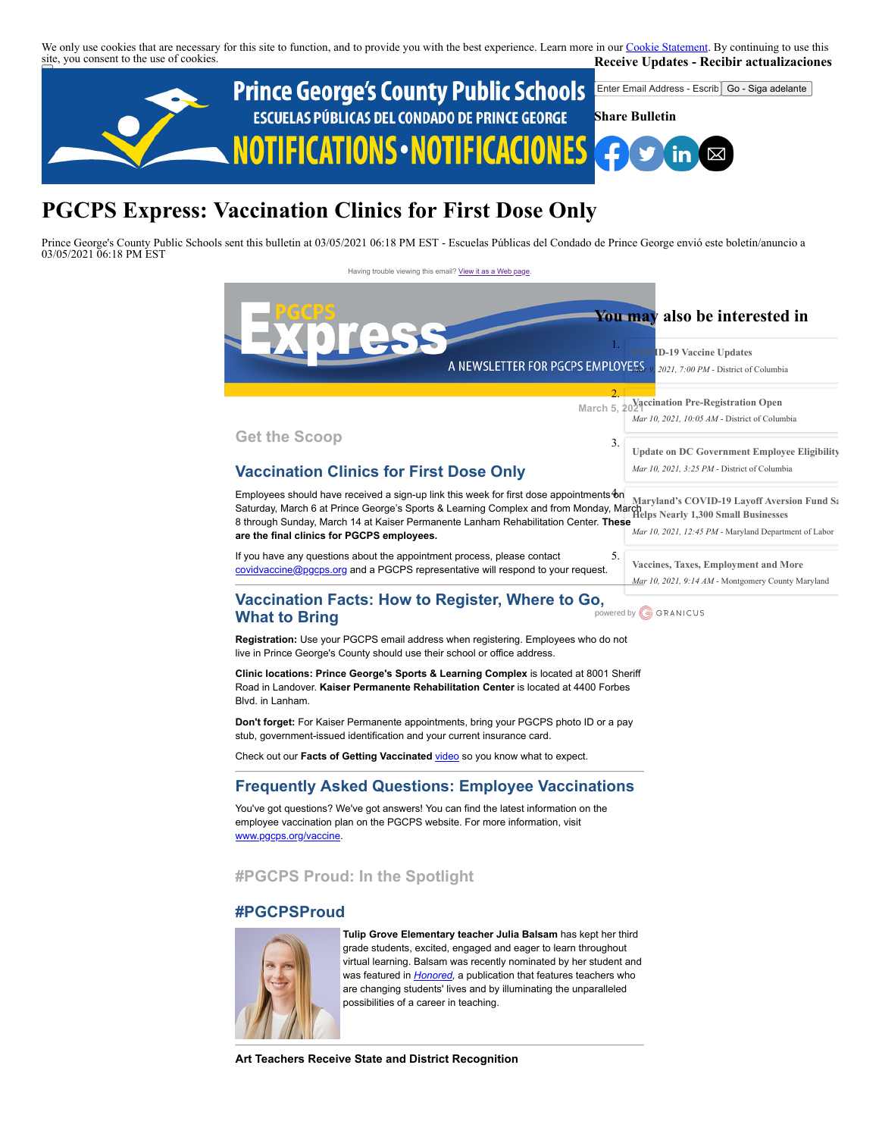We only use cookies that are necessary for this site to function, and to provide you with the best experience. Learn more in our [Cookie Statement.](https://subscriberhelp.granicus.com/s/article/Cookies) By continuing to use this site, you consent to the use of cookies. **Receive Updates - Recibir actualizaciones**



# **PGCPS Express: Vaccination Clinics for First Dose Only**

Prince George's County Public Schools sent this bulletin at 03/05/2021 06:18 PM EST - Escuelas Públicas del Condado de Prince George envió este boletín/anuncio a 03/05/2021 06:18 PM EST

Having trouble viewing this email? [View it as a Web page](https://content.govdelivery.com/accounts/PGCPS/bulletins/2c4cebf)



**Art Teachers Receive State and District Recognition**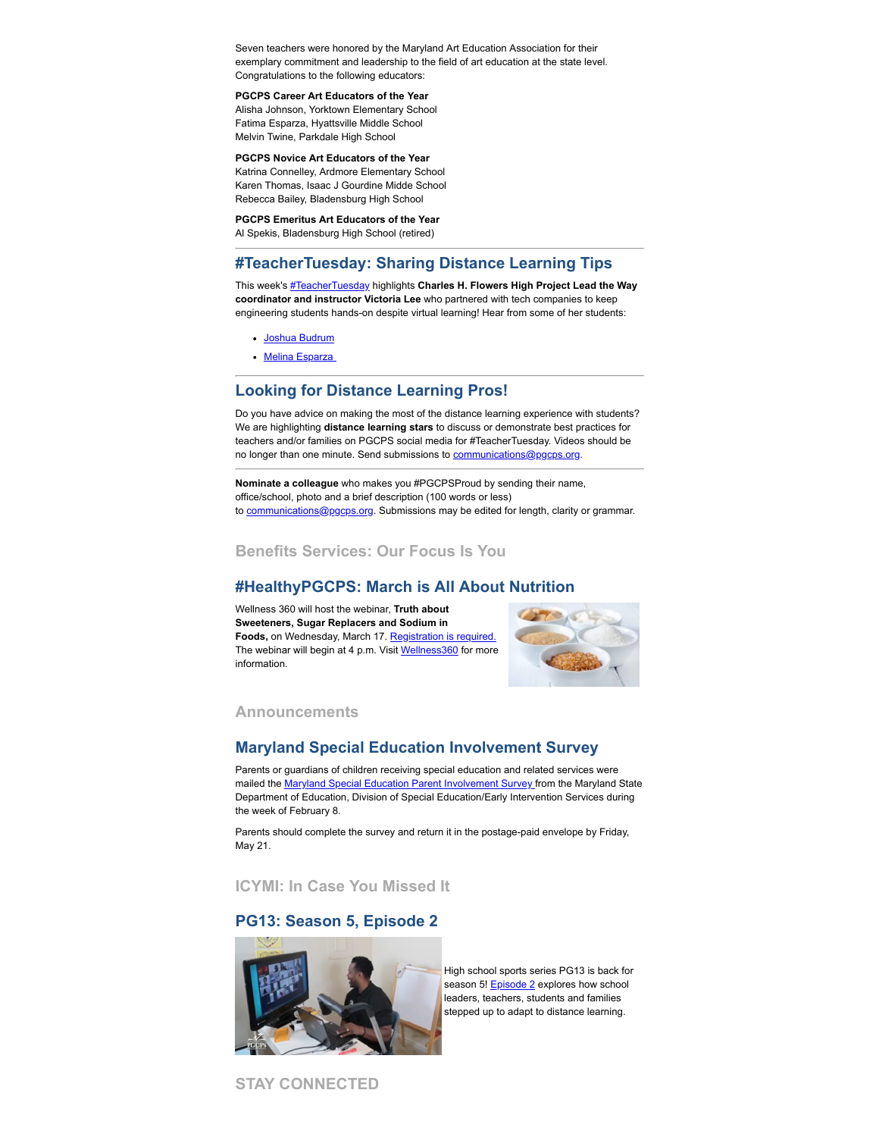Seven teachers were honored by the Maryland Art Education Association for their exemplary commitment and leadership to the field of art education at the state level. Congratulations to the following educators:

#### **PGCPS Career Art Educators of the Year**

Alisha Johnson, Yorktown Elementary School Fatima Esparza, Hyattsville Middle School Melvin Twine, Parkdale High School

#### **PGCPS Novice Art Educators of the Year**

Katrina Connelley, Ardmore Elementary School Karen Thomas, Isaac J Gourdine Midde School Rebecca Bailey, Bladensburg High School

## **PGCPS Emeritus Art Educators of the Year**

Al Spekis, Bladensburg High School (retired)

### **#TeacherTuesday: Sharing Distance Learning Tips**

This week's [#TeacherTuesday](https://twitter.com/hashtag/TeacherTuesday?src=hashtag_click) highlights **Charles H. Flowers High Project Lead the Way coordinator and instructor Victoria Lee** who partnered with tech companies to keep engineering students hands-on despite virtual learning! Hear from some of her students:

- [Joshua Budrum](https://vimeo.com/leidos/review/514432992/1f87ee02cd)
- Melina Esparza

#### **Looking for Distance Learning Pros!**

Do you have advice on making the most of the distance learning experience with students? We are highlighting **distance learning stars** to discuss or demonstrate best practices for teachers and/or families on PGCPS social media for #TeacherTuesday. Videos should be no longer than one minute. Send submissions to [communications@pgcps.org](mailto:communications@pgcps.org).

**Nominate a colleague** who makes you #PGCPSProud by sending their name, office/school, photo and a brief description (100 words or less) to [communications@pgcps.org](mailto:communications@pgcps.org). Submissions may be edited for length, clarity or grammar.

#### **Benefits Services: Our Focus Is You**

#### **#HealthyPGCPS: March is All About Nutrition**

Wellness 360 will host the webinar, **Truth about Sweeteners, Sugar Replacers and Sodium in** Foods, on Wednesday, March 17. [Registration is required.](https://kponline.webex.com/mw3300/mywebex/default.do?service=7&nomenu=true&main_url=%2Ftc3300%2Ftrainingcenter%2FLoading.do%3Fsiteurl%3Dkponline%26UID%3D-99999999%26RT%3DMiMxMQ%253D%253D%26siteurl%3Dkponline%26apiname%3Dj.php%26MTID%3Dt1006eded23f5935fb17ca5591feb91e0%26FM%3D1%26rnd%3D7557241255%26servicename%3DTC%26ED%3D1147959702%26needFilter%3Dfalse&siteurl=kponline) The webinar will begin at 4 p.m. Visit [Wellness360](https://offices.pgcps.org/Wellness/Cards/Employee-Wellness-Program/) for more information.



#### **Announcements**

#### **Maryland Special Education Involvement Survey**

Parents or guardians of children receiving special education and related services were mailed the [Maryland Special Education Parent Involvement Survey f](https://www.mdparentsurvey.com/)rom the Maryland State Department of Education, Division of Special Education/Early Intervention Services during the week of February 8.

Parents should complete the survey and return it in the postage-paid envelope by Friday, May 21.

**ICYMI: In Case You Missed It**

### **PG13: Season 5, Episode 2**



High school sports series PG13 is back for season 5! [Episode 2](https://www.pgcps.org/offices/newsroom/pg13) explores how school leaders, teachers, students and families stepped up to adapt to distance learning.

**STAY CONNECTED**